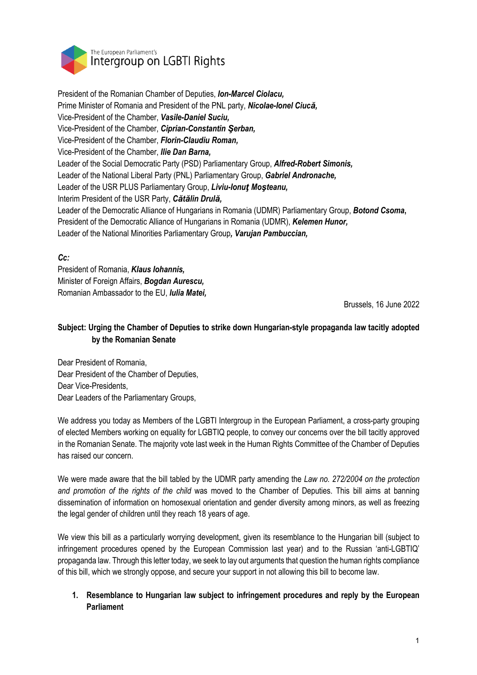

President of the Romanian Chamber of Deputies, *Ion-Marcel Ciolacu,* Prime Minister of Romania and President of the PNL party, *Nicolae-Ionel Ciucă,* Vice-President of the Chamber, *Vasile-Daniel Suciu,* Vice-President of the Chamber, *Ciprian-Constantin Şerban,* Vice-President of the Chamber, *Florin-Claudiu Roman,* Vice-President of the Chamber, *Ilie Dan Barna,* Leader of the Social Democratic Party (PSD) Parliamentary Group, *Alfred-Robert Simonis,* Leader of the National Liberal Party (PNL) Parliamentary Group, *Gabriel Andronache,* Leader of the USR PLUS Parliamentary Group, *Liviu-Ionuţ Moşteanu,* Interim President of the USR Party, *Cătălin Drulă,* Leader of the Democratic Alliance of Hungarians in Romania (UDMR) Parliamentary Group, *Botond Csoma***,** President of the Democratic Alliance of Hungarians in Romania (UDMR), *Kelemen Hunor,* Leader of the National Minorities Parliamentary Group*, Varujan Pambuccian,* 

## *Cc:*

President of Romania, *Klaus Iohannis,* Minister of Foreign Affairs, *Bogdan Aurescu,* Romanian Ambassador to the EU, *Iulia Matei,*

Brussels, 16 June 2022

# **Subject: Urging the Chamber of Deputies to strike down Hungarian-style propaganda law tacitly adopted by the Romanian Senate**

Dear President of Romania, Dear President of the Chamber of Deputies, Dear Vice-Presidents, Dear Leaders of the Parliamentary Groups,

We address you today as Members of the LGBTI Intergroup in the European Parliament, a cross-party grouping of elected Members working on equality for LGBTIQ people, to convey our concerns over the bill tacitly approved in the Romanian Senate. The majority vote last week in the Human Rights Committee of the Chamber of Deputies has raised our concern.

We were made aware that the bill tabled by the UDMR party amending the *Law no. 272/2004 on the protection and promotion of the rights of the child* was moved to the Chamber of Deputies. This bill aims at banning dissemination of information on homosexual orientation and gender diversity among minors, as well as freezing the legal gender of children until they reach 18 years of age.

We view this bill as a particularly worrying development, given its resemblance to the Hungarian bill (subject to infringement procedures opened by the European Commission last year) and to the Russian 'anti-LGBTIQ' propaganda law. Through this letter today, we seek to lay out arguments that question the human rights compliance of this bill, which we strongly oppose, and secure your support in not allowing this bill to become law.

## **1. Resemblance to Hungarian law subject to infringement procedures and reply by the European Parliament**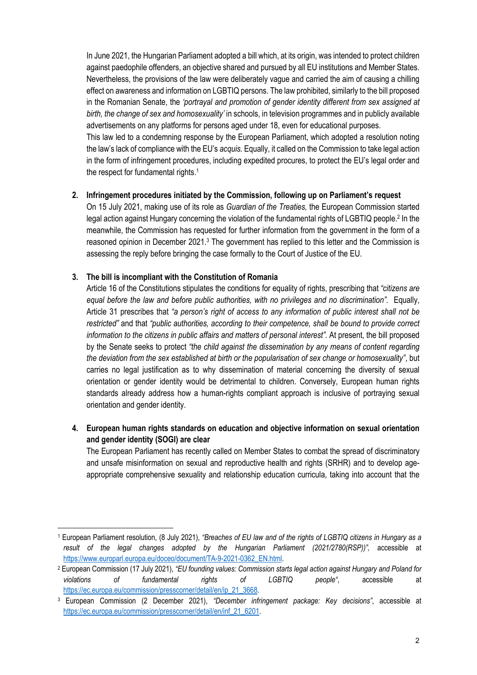In June 2021, the Hungarian Parliament adopted a bill which, at its origin, was intended to protect children against paedophile offenders, an objective shared and pursued by all EU institutions and Member States. Nevertheless, the provisions of the law were deliberately vague and carried the aim of causing a chilling effect on awareness and information on LGBTIQ persons. The law prohibited, similarly to the bill proposed in the Romanian Senate, the *'portrayal and promotion of gender identity different from sex assigned at birth, the change of sex and homosexuality'* in schools, in television programmes and in publicly available advertisements on any platforms for persons aged under 18, even for educational purposes. This law led to a condemning response by the European Parliament, which adopted a resolution noting

the law's lack of compliance with the EU's *acquis.* Equally, it called on the Commission to take legal action in the form of infringement procedures, including expedited procures, to protect the EU's legal order and the respect for fundamental rights.<sup>1</sup>

### **2. Infringement procedures initiated by the Commission, following up on Parliament's request**

On 15 July 2021, making use of its role as *Guardian of the Treaties,* the European Commission started legal action against Hungary concerning the violation of the fundamental rights of LGBTIQ people.<sup>2</sup> In the meanwhile, the Commission has requested for further information from the government in the form of a reasoned opinion in December 2021.<sup>3</sup> The government has replied to this letter and the Commission is assessing the reply before bringing the case formally to the Court of Justice of the EU.

#### **3. The bill is incompliant with the Constitution of Romania**

Article 16 of the Constitutions stipulates the conditions for equality of rights, prescribing that *"citizens are equal before the law and before public authorities, with no privileges and no discrimination".* Equally, Article 31 prescribes that *"a person's right of access to any information of public interest shall not be restricted"* and that *"public authorities, according to their competence, shall be bound to provide correct information to the citizens in public affairs and matters of personal interest".* At present, the bill proposed by the Senate seeks to protect *"the child against the dissemination by any means of content regarding the deviation from the sex established at birth or the popularisation of sex change or homosexuality"*, but carries no legal justification as to why dissemination of material concerning the diversity of sexual orientation or gender identity would be detrimental to children. Conversely, European human rights standards already address how a human-rights compliant approach is inclusive of portraying sexual orientation and gender identity.

## **4. European human rights standards on education and objective information on sexual orientation and gender identity (SOGI) are clear**

The European Parliament has recently called on Member States to combat the spread of discriminatory and unsafe misinformation on sexual and reproductive health and rights (SRHR) and to develop ageappropriate comprehensive sexuality and relationship education curricula, taking into account that the

<sup>1</sup> European Parliament resolution, (8 July 2021), *"Breaches of EU law and of the rights of LGBTIQ citizens in Hungary as a*  result of the legal changes adopted by the Hungarian Parliament (2021/2780(RSP))", accessible at https://www.europarl.europa.eu/doceo/document/TA-9-2021-0362\_EN.html.

<sup>2</sup> European Commission (17 July 2021), *"EU founding values: Commission starts legal action against Hungary and Poland for violations of fundamental rights of LGBTIQ people"*, accessible at https://ec.europa.eu/commission/presscorner/detail/en/ip\_21\_3668.

<sup>3</sup> European Commission (2 December 2021), *"December infringement package: Key decisions"*, accessible at https://ec.europa.eu/commission/presscorner/detail/en/inf\_21\_6201.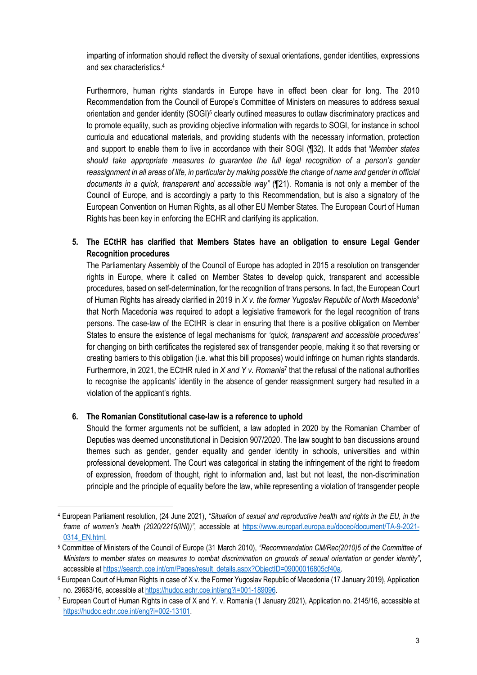imparting of information should reflect the diversity of sexual orientations, gender identities, expressions and sex characteristics. 4

Furthermore, human rights standards in Europe have in effect been clear for long. The 2010 Recommendation from the Council of Europe's Committee of Ministers on measures to address sexual orientation and gender identity (SOGI)<sup>5</sup> clearly outlined measures to outlaw discriminatory practices and to promote equality, such as providing objective information with regards to SOGI, for instance in school curricula and educational materials, and providing students with the necessary information, protection and support to enable them to live in accordance with their SOGI (¶32). It adds that *"Member states should take appropriate measures to guarantee the full legal recognition of a person's gender reassignment in all areas of life, in particular by making possible the change of name and gender in official documents in a quick, transparent and accessible way"* (¶21). Romania is not only a member of the Council of Europe, and is accordingly a party to this Recommendation, but is also a signatory of the European Convention on Human Rights, as all other EU Member States. The European Court of Human Rights has been key in enforcing the ECHR and clarifying its application.

**5. The ECtHR has clarified that Members States have an obligation to ensure Legal Gender Recognition procedures**

The Parliamentary Assembly of the Council of Europe has adopted in 2015 a resolution on transgender rights in Europe, where it called on Member States to develop quick, transparent and accessible procedures, based on self-determination, for the recognition of trans persons. In fact, the European Court of Human Rights has already clarified in 2019 in *X v. the former Yugoslav Republic of North Macedonia*<sup>6</sup> that North Macedonia was required to adopt a legislative framework for the legal recognition of trans persons. The case-law of the ECtHR is clear in ensuring that there is a positive obligation on Member States to ensure the existence of legal mechanisms for *'quick, transparent and accessible procedures'* for changing on birth certificates the registered sex of transgender people, making it so that reversing or creating barriers to this obligation (i.e. what this bill proposes) would infringe on human rights standards. Furthermore, in 2021, the ECtHR ruled in *X and Y v. Romania*<sup>7</sup> that the refusal of the national authorities to recognise the applicants' identity in the absence of gender reassignment surgery had resulted in a violation of the applicant's rights.

### **6. The Romanian Constitutional case-law is a reference to uphold**

Should the former arguments not be sufficient, a law adopted in 2020 by the Romanian Chamber of Deputies was deemed unconstitutional in Decision 907/2020. The law sought to ban discussions around themes such as gender, gender equality and gender identity in schools, universities and within professional development. The Court was categorical in stating the infringement of the right to freedom of expression, freedom of thought, right to information and, last but not least, the non-discrimination principle and the principle of equality before the law, while representing a violation of transgender people

<sup>4</sup> European Parliament resolution, (24 June 2021), *"Situation of sexual and reproductive health and rights in the EU, in the frame of women's health (2020/2215(INI))"*, accessible at https://www.europarl.europa.eu/doceo/document/TA-9-2021- 0314\_EN.html.

<sup>5</sup> Committee of Ministers of the Council of Europe (31 March 2010), *"Recommendation CM/Rec(2010)5 of the Committee of Ministers to member states on measures to combat discrimination on grounds of sexual orientation or gender identity"*, accessible at https://search.coe.int/cm/Pages/result\_details.aspx?ObjectID=09000016805cf40a.

<sup>6</sup> European Court of Human Rights in case of X v. the Former Yugoslav Republic of Macedonia (17 January 2019), Application no. 29683/16, accessible at https://hudoc.echr.coe.int/eng?i=001-189096.

 $7$  European Court of Human Rights in case of X and Y. v. Romania (1 January 2021), Application no. 2145/16, accessible at https://hudoc.echr.coe.int/eng?i=002-13101.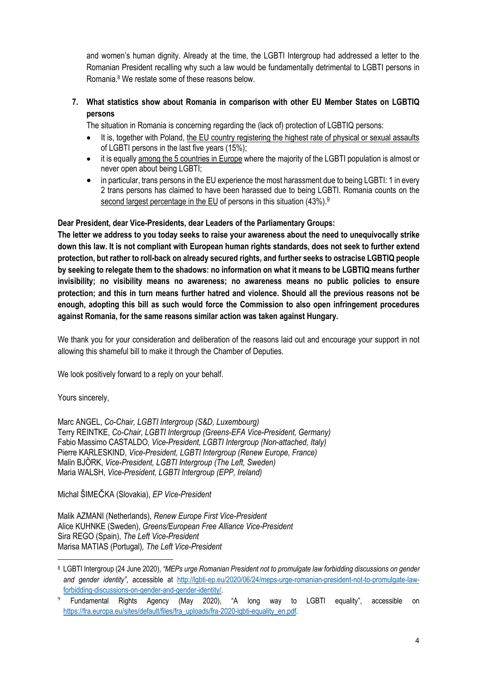and women's human dignity. Already at the time, the LGBTI Intergroup had addressed a letter to the Romanian President recalling why such a law would be fundamentally detrimental to LGBTI persons in Romania.8 We restate some of these reasons below.

## **7. What statistics show about Romania in comparison with other EU Member States on LGBTIQ persons**

The situation in Romania is concerning regarding the (lack of) protection of LGBTIQ persons:

- It is, together with Poland, the EU country registering the highest rate of physical or sexual assaults of LGBTI persons in the last five years (15%);
- it is equally among the 5 countries in Europe where the majority of the LGBTI population is almost or never open about being LGBTI;
- in particular, trans persons in the EU experience the most harassment due to being LGBTI: 1 in every 2 trans persons has claimed to have been harassed due to being LGBTI. Romania counts on the second largest percentage in the EU of persons in this situation (43%).<sup>9</sup>

**Dear President, dear Vice-Presidents, dear Leaders of the Parliamentary Groups:**

**The letter we address to you today seeks to raise your awareness about the need to unequivocally strike down this law. It is not compliant with European human rights standards, does not seek to further extend protection, but rather to roll-back on already secured rights, and further seeks to ostracise LGBTIQ people by seeking to relegate them to the shadows: no information on what it means to be LGBTIQ means further invisibility; no visibility means no awareness; no awareness means no public policies to ensure protection; and this in turn means further hatred and violence. Should all the previous reasons not be enough, adopting this bill as such would force the Commission to also open infringement procedures against Romania, for the same reasons similar action was taken against Hungary.** 

We thank you for your consideration and deliberation of the reasons laid out and encourage your support in not allowing this shameful bill to make it through the Chamber of Deputies.

We look positively forward to a reply on your behalf.

Yours sincerely,

Marc ANGEL, *Co-Chair, LGBTI Intergroup (S&D, Luxembourg)* Terry REINTKE, *Co-Chair, LGBTI Intergroup (Greens-EFA Vice-President, Germany)* Fabio Massimo CASTALDO*, Vice-President, LGBTI Intergroup (Non-attached, Italy)* Pierre KARLESKIND, *Vice-President, LGBTI Intergroup (Renew Europe, France)* Malin BJÖRK, *Vice-President, LGBTI Intergroup (The Left, Sweden)* Maria WALSH, *Vice-President, LGBTI Intergroup (EPP, Ireland)*

Michal ŠIMEČKA (Slovakia), *EP Vice-President* 

Malik AZMANI (Netherlands), *Renew Europe First Vice-President* Alice KUHNKE (Sweden), *Greens/European Free Alliance Vice-President* Sira REGO (Spain), *The Left Vice-President* Marisa MATIAS (Portugal)*, The Left Vice-President*

<sup>8</sup> LGBTI Intergroup (24 June 2020), *"MEPs urge Romanian President not to promulgate law forbidding discussions on gender and gender identity"*, accessible at http://lgbti-ep.eu/2020/06/24/meps-urge-romanian-president-not-to-promulgate-lawforbidding-discussions-on-gender-and-gender-identity/.

<sup>9</sup> Fundamental Rights Agency (May 2020), "A long way to LGBTI equality", accessible on https://fra.europa.eu/sites/default/files/fra\_uploads/fra-2020-lgbti-equality\_en.pdf.